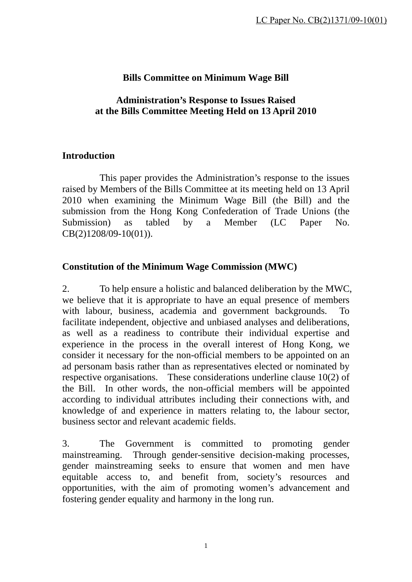# **Bills Committee on Minimum Wage Bill**

#### **Administration's Response to Issues Raised at the Bills Committee Meeting Held on 13 April 2010**

## **Introduction**

 This paper provides the Administration's response to the issues raised by Members of the Bills Committee at its meeting held on 13 April 2010 when examining the Minimum Wage Bill (the Bill) and the submission from the Hong Kong Confederation of Trade Unions (the Submission) as tabled by a Member (LC Paper No. CB(2)1208/09-10(01)).

## **Constitution of the Minimum Wage Commission (MWC)**

2. To help ensure a holistic and balanced deliberation by the MWC, we believe that it is appropriate to have an equal presence of members with labour, business, academia and government backgrounds. To facilitate independent, objective and unbiased analyses and deliberations, as well as a readiness to contribute their individual expertise and experience in the process in the overall interest of Hong Kong, we consider it necessary for the non-official members to be appointed on an ad personam basis rather than as representatives elected or nominated by respective organisations. These considerations underline clause 10(2) of the Bill. In other words, the non-official members will be appointed according to individual attributes including their connections with, and knowledge of and experience in matters relating to, the labour sector, business sector and relevant academic fields.

3. The Government is committed to promoting gender mainstreaming. Through gender-sensitive decision-making processes, gender mainstreaming seeks to ensure that women and men have equitable access to, and benefit from, society's resources and opportunities, with the aim of promoting women's advancement and fostering gender equality and harmony in the long run.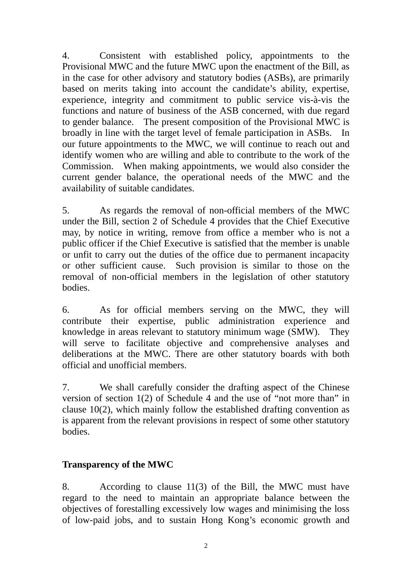4. Consistent with established policy, appointments to the Provisional MWC and the future MWC upon the enactment of the Bill, as in the case for other advisory and statutory bodies (ASBs), are primarily based on merits taking into account the candidate's ability, expertise, experience, integrity and commitment to public service vis-à-vis the functions and nature of business of the ASB concerned, with due regard to gender balance. The present composition of the Provisional MWC is broadly in line with the target level of female participation in ASBs. In our future appointments to the MWC, we will continue to reach out and identify women who are willing and able to contribute to the work of the Commission. When making appointments, we would also consider the current gender balance, the operational needs of the MWC and the availability of suitable candidates.

5. As regards the removal of non-official members of the MWC under the Bill, section 2 of Schedule 4 provides that the Chief Executive may, by notice in writing, remove from office a member who is not a public officer if the Chief Executive is satisfied that the member is unable or unfit to carry out the duties of the office due to permanent incapacity or other sufficient cause. Such provision is similar to those on the removal of non-official members in the legislation of other statutory bodies.

6. As for official members serving on the MWC, they will contribute their expertise, public administration experience and knowledge in areas relevant to statutory minimum wage (SMW). They will serve to facilitate objective and comprehensive analyses and deliberations at the MWC. There are other statutory boards with both official and unofficial members.

7. We shall carefully consider the drafting aspect of the Chinese version of section 1(2) of Schedule 4 and the use of "not more than" in clause 10(2), which mainly follow the established drafting convention as is apparent from the relevant provisions in respect of some other statutory bodies.

# **Transparency of the MWC**

8. According to clause 11(3) of the Bill, the MWC must have regard to the need to maintain an appropriate balance between the objectives of forestalling excessively low wages and minimising the loss of low-paid jobs, and to sustain Hong Kong's economic growth and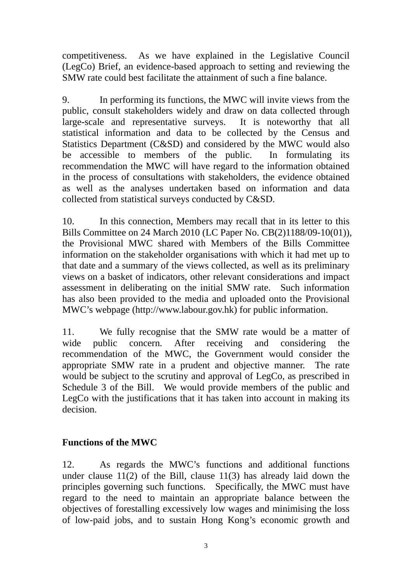competitiveness. As we have explained in the Legislative Council (LegCo) Brief, an evidence-based approach to setting and reviewing the SMW rate could best facilitate the attainment of such a fine balance.

9. In performing its functions, the MWC will invite views from the public, consult stakeholders widely and draw on data collected through large-scale and representative surveys. It is noteworthy that all statistical information and data to be collected by the Census and Statistics Department (C&SD) and considered by the MWC would also be accessible to members of the public. In formulating its recommendation the MWC will have regard to the information obtained in the process of consultations with stakeholders, the evidence obtained as well as the analyses undertaken based on information and data collected from statistical surveys conducted by C&SD.

10. In this connection, Members may recall that in its letter to this Bills Committee on 24 March 2010 (LC Paper No. CB(2)1188/09-10(01)), the Provisional MWC shared with Members of the Bills Committee information on the stakeholder organisations with which it had met up to that date and a summary of the views collected, as well as its preliminary views on a basket of indicators, other relevant considerations and impact assessment in deliberating on the initial SMW rate. Such information has also been provided to the media and uploaded onto the Provisional MWC's webpage (http://www.labour.gov.hk) for public information.

11. We fully recognise that the SMW rate would be a matter of wide public concern. After receiving and considering the recommendation of the MWC, the Government would consider the appropriate SMW rate in a prudent and objective manner. The rate would be subject to the scrutiny and approval of LegCo, as prescribed in Schedule 3 of the Bill. We would provide members of the public and LegCo with the justifications that it has taken into account in making its decision.

# **Functions of the MWC**

12. As regards the MWC's functions and additional functions under clause 11(2) of the Bill, clause 11(3) has already laid down the principles governing such functions. Specifically, the MWC must have regard to the need to maintain an appropriate balance between the objectives of forestalling excessively low wages and minimising the loss of low-paid jobs, and to sustain Hong Kong's economic growth and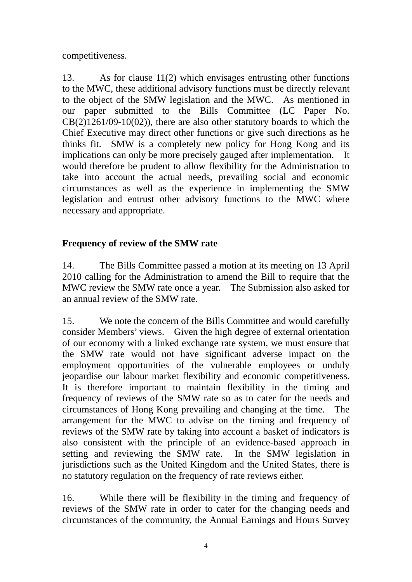competitiveness.

13. As for clause 11(2) which envisages entrusting other functions to the MWC, these additional advisory functions must be directly relevant to the object of the SMW legislation and the MWC. As mentioned in our paper submitted to the Bills Committee (LC Paper No.  $CB(2)1261/09-10(02)$ , there are also other statutory boards to which the Chief Executive may direct other functions or give such directions as he thinks fit. SMW is a completely new policy for Hong Kong and its implications can only be more precisely gauged after implementation. It would therefore be prudent to allow flexibility for the Administration to take into account the actual needs, prevailing social and economic circumstances as well as the experience in implementing the SMW legislation and entrust other advisory functions to the MWC where necessary and appropriate.

# **Frequency of review of the SMW rate**

14. The Bills Committee passed a motion at its meeting on 13 April 2010 calling for the Administration to amend the Bill to require that the MWC review the SMW rate once a year. The Submission also asked for an annual review of the SMW rate.

15. We note the concern of the Bills Committee and would carefully consider Members' views. Given the high degree of external orientation of our economy with a linked exchange rate system, we must ensure that the SMW rate would not have significant adverse impact on the employment opportunities of the vulnerable employees or unduly jeopardise our labour market flexibility and economic competitiveness. It is therefore important to maintain flexibility in the timing and frequency of reviews of the SMW rate so as to cater for the needs and circumstances of Hong Kong prevailing and changing at the time. The arrangement for the MWC to advise on the timing and frequency of reviews of the SMW rate by taking into account a basket of indicators is also consistent with the principle of an evidence-based approach in setting and reviewing the SMW rate. In the SMW legislation in jurisdictions such as the United Kingdom and the United States, there is no statutory regulation on the frequency of rate reviews either.

16. While there will be flexibility in the timing and frequency of reviews of the SMW rate in order to cater for the changing needs and circumstances of the community, the Annual Earnings and Hours Survey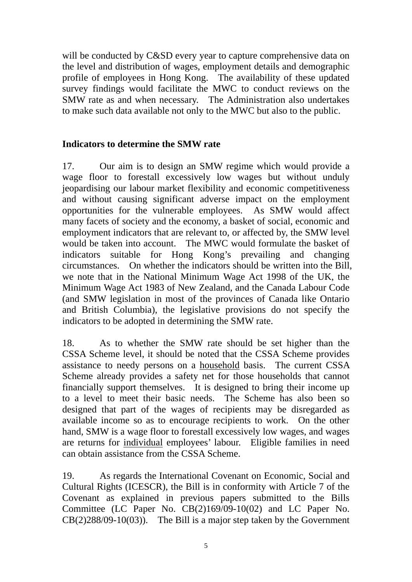will be conducted by C&SD every year to capture comprehensive data on the level and distribution of wages, employment details and demographic profile of employees in Hong Kong. The availability of these updated survey findings would facilitate the MWC to conduct reviews on the SMW rate as and when necessary. The Administration also undertakes to make such data available not only to the MWC but also to the public.

## **Indicators to determine the SMW rate**

17. Our aim is to design an SMW regime which would provide a wage floor to forestall excessively low wages but without unduly jeopardising our labour market flexibility and economic competitiveness and without causing significant adverse impact on the employment opportunities for the vulnerable employees. As SMW would affect many facets of society and the economy, a basket of social, economic and employment indicators that are relevant to, or affected by, the SMW level would be taken into account. The MWC would formulate the basket of indicators suitable for Hong Kong's prevailing and changing circumstances. On whether the indicators should be written into the Bill, we note that in the National Minimum Wage Act 1998 of the UK, the Minimum Wage Act 1983 of New Zealand, and the Canada Labour Code (and SMW legislation in most of the provinces of Canada like Ontario and British Columbia), the legislative provisions do not specify the indicators to be adopted in determining the SMW rate.

18. As to whether the SMW rate should be set higher than the CSSA Scheme level, it should be noted that the CSSA Scheme provides assistance to needy persons on a household basis. The current CSSA Scheme already provides a safety net for those households that cannot financially support themselves. It is designed to bring their income up to a level to meet their basic needs. The Scheme has also been so designed that part of the wages of recipients may be disregarded as available income so as to encourage recipients to work. On the other hand, SMW is a wage floor to forestall excessively low wages, and wages are returns for individual employees' labour. Eligible families in need can obtain assistance from the CSSA Scheme.

19. As regards the International Covenant on Economic, Social and Cultural Rights (ICESCR), the Bill is in conformity with Article 7 of the Covenant as explained in previous papers submitted to the Bills Committee (LC Paper No. CB(2)169/09-10(02) and LC Paper No. CB(2)288/09-10(03)). The Bill is a major step taken by the Government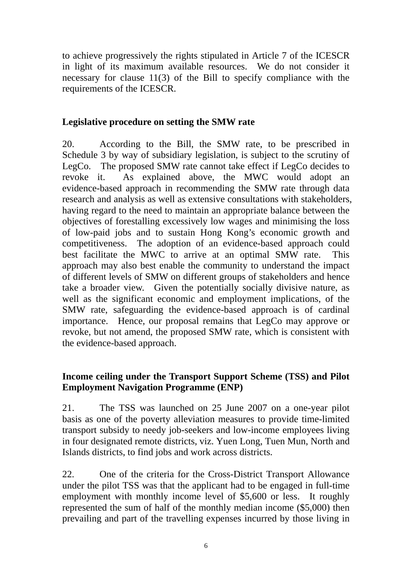to achieve progressively the rights stipulated in Article 7 of the ICESCR in light of its maximum available resources. We do not consider it necessary for clause 11(3) of the Bill to specify compliance with the requirements of the ICESCR.

#### **Legislative procedure on setting the SMW rate**

20. According to the Bill, the SMW rate, to be prescribed in Schedule 3 by way of subsidiary legislation, is subject to the scrutiny of LegCo. The proposed SMW rate cannot take effect if LegCo decides to revoke it. As explained above, the MWC would adopt an evidence-based approach in recommending the SMW rate through data research and analysis as well as extensive consultations with stakeholders, having regard to the need to maintain an appropriate balance between the objectives of forestalling excessively low wages and minimising the loss of low-paid jobs and to sustain Hong Kong's economic growth and competitiveness. The adoption of an evidence-based approach could best facilitate the MWC to arrive at an optimal SMW rate. This approach may also best enable the community to understand the impact of different levels of SMW on different groups of stakeholders and hence take a broader view. Given the potentially socially divisive nature, as well as the significant economic and employment implications, of the SMW rate, safeguarding the evidence-based approach is of cardinal importance. Hence, our proposal remains that LegCo may approve or revoke, but not amend, the proposed SMW rate, which is consistent with the evidence-based approach.

## **Income ceiling under the Transport Support Scheme (TSS) and Pilot Employment Navigation Programme (ENP)**

21. The TSS was launched on 25 June 2007 on a one-year pilot basis as one of the poverty alleviation measures to provide time-limited transport subsidy to needy job-seekers and low-income employees living in four designated remote districts, viz. Yuen Long, Tuen Mun, North and Islands districts, to find jobs and work across districts.

22. One of the criteria for the Cross-District Transport Allowance under the pilot TSS was that the applicant had to be engaged in full-time employment with monthly income level of \$5,600 or less. It roughly represented the sum of half of the monthly median income (\$5,000) then prevailing and part of the travelling expenses incurred by those living in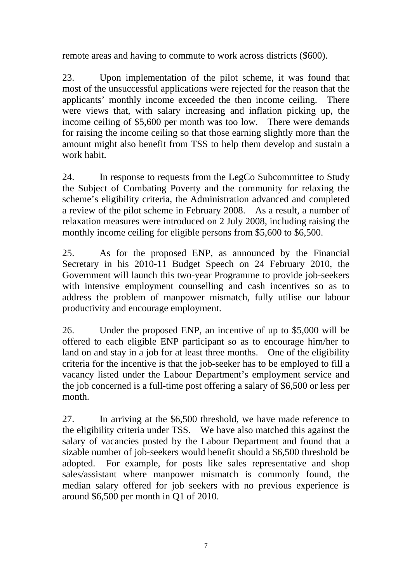remote areas and having to commute to work across districts (\$600).

23. Upon implementation of the pilot scheme, it was found that most of the unsuccessful applications were rejected for the reason that the applicants' monthly income exceeded the then income ceiling. There were views that, with salary increasing and inflation picking up, the income ceiling of \$5,600 per month was too low. There were demands for raising the income ceiling so that those earning slightly more than the amount might also benefit from TSS to help them develop and sustain a work habit.

24. In response to requests from the LegCo Subcommittee to Study the Subject of Combating Poverty and the community for relaxing the scheme's eligibility criteria, the Administration advanced and completed a review of the pilot scheme in February 2008. As a result, a number of relaxation measures were introduced on 2 July 2008, including raising the monthly income ceiling for eligible persons from \$5,600 to \$6,500.

25. As for the proposed ENP, as announced by the Financial Secretary in his 2010-11 Budget Speech on 24 February 2010, the Government will launch this two-year Programme to provide job-seekers with intensive employment counselling and cash incentives so as to address the problem of manpower mismatch, fully utilise our labour productivity and encourage employment.

26. Under the proposed ENP, an incentive of up to \$5,000 will be offered to each eligible ENP participant so as to encourage him/her to land on and stay in a job for at least three months. One of the eligibility criteria for the incentive is that the job-seeker has to be employed to fill a vacancy listed under the Labour Department's employment service and the job concerned is a full-time post offering a salary of \$6,500 or less per month.

27. In arriving at the \$6,500 threshold, we have made reference to the eligibility criteria under TSS. We have also matched this against the salary of vacancies posted by the Labour Department and found that a sizable number of job-seekers would benefit should a \$6,500 threshold be adopted. For example, for posts like sales representative and shop sales/assistant where manpower mismatch is commonly found, the median salary offered for job seekers with no previous experience is around \$6,500 per month in Q1 of 2010.